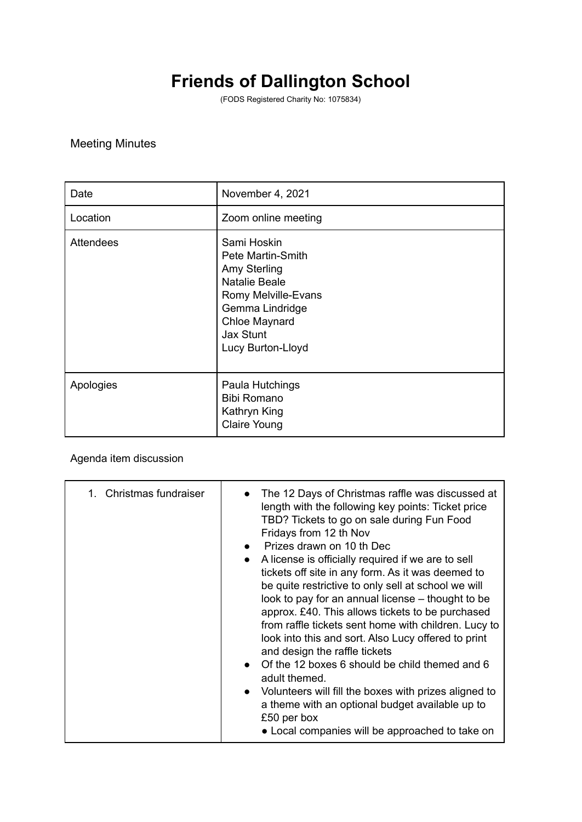## **Friends of Dallington School**

(FODS Registered Charity No: 1075834)

## Meeting Minutes

| Date             | November 4, 2021                                                                                                                                                      |
|------------------|-----------------------------------------------------------------------------------------------------------------------------------------------------------------------|
| Location         | Zoom online meeting                                                                                                                                                   |
| <b>Attendees</b> | Sami Hoskin<br>Pete Martin-Smith<br>Amy Sterling<br>Natalie Beale<br>Romy Melville-Evans<br>Gemma Lindridge<br>Chloe Maynard<br><b>Jax Stunt</b><br>Lucy Burton-Lloyd |
| Apologies        | Paula Hutchings<br><b>Bibi Romano</b><br>Kathryn King<br><b>Claire Young</b>                                                                                          |

## Agenda item discussion

| 1. Christmas fundraiser | The 12 Days of Christmas raffle was discussed at<br>length with the following key points: Ticket price<br>TBD? Tickets to go on sale during Fun Food<br>Fridays from 12 th Nov<br>• Prizes drawn on 10 th Dec<br>• A license is officially required if we are to sell<br>tickets off site in any form. As it was deemed to<br>be quite restrictive to only sell at school we will<br>look to pay for an annual license – thought to be<br>approx. £40. This allows tickets to be purchased<br>from raffle tickets sent home with children. Lucy to<br>look into this and sort. Also Lucy offered to print<br>and design the raffle tickets<br>• Of the 12 boxes 6 should be child themed and 6<br>adult themed.<br>Volunteers will fill the boxes with prizes aligned to<br>$\bullet$<br>a theme with an optional budget available up to<br>£50 per box |
|-------------------------|---------------------------------------------------------------------------------------------------------------------------------------------------------------------------------------------------------------------------------------------------------------------------------------------------------------------------------------------------------------------------------------------------------------------------------------------------------------------------------------------------------------------------------------------------------------------------------------------------------------------------------------------------------------------------------------------------------------------------------------------------------------------------------------------------------------------------------------------------------|
|                         | • Local companies will be approached to take on                                                                                                                                                                                                                                                                                                                                                                                                                                                                                                                                                                                                                                                                                                                                                                                                         |